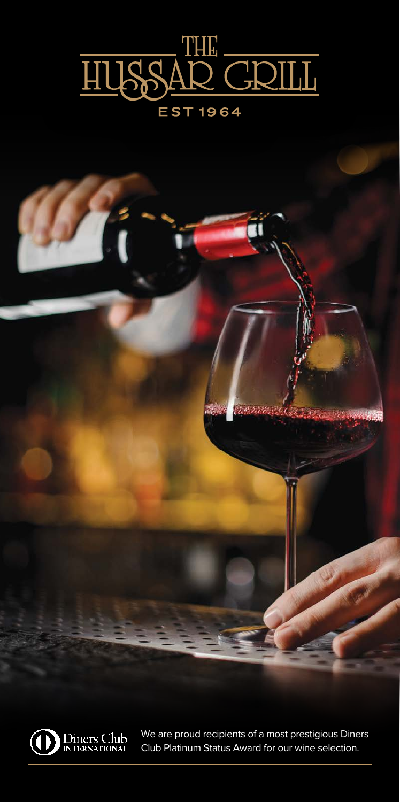





We are proud recipients of a most prestigious Diners Club Platinum Status Award for our wine selection.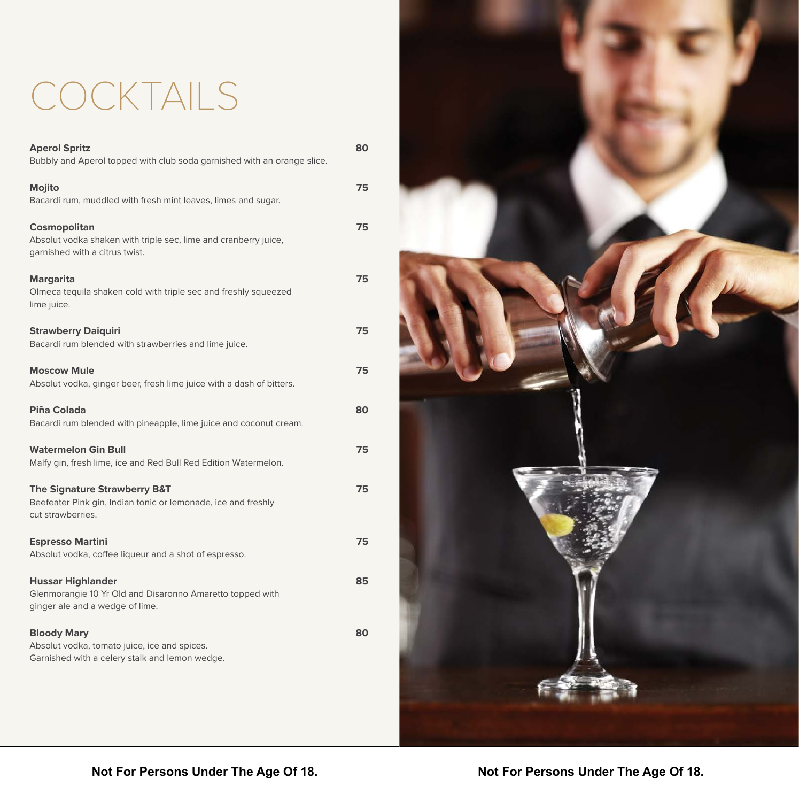# COCKTAILS

| <b>Aperol Spritz</b><br>Bubbly and Aperol topped with club soda garnished with an orange slice.                               | 80 |
|-------------------------------------------------------------------------------------------------------------------------------|----|
| Mojito<br>Bacardi rum, muddled with fresh mint leaves, limes and sugar.                                                       | 75 |
| Cosmopolitan<br>Absolut vodka shaken with triple sec, lime and cranberry juice,<br>garnished with a citrus twist.             | 75 |
| <b>Margarita</b><br>Olmeca tequila shaken cold with triple sec and freshly squeezed<br>lime juice.                            | 75 |
| <b>Strawberry Daiquiri</b><br>Bacardi rum blended with strawberries and lime juice.                                           | 75 |
| <b>Moscow Mule</b><br>Absolut vodka, ginger beer, fresh lime juice with a dash of bitters.                                    | 75 |
| <b>Piña Colada</b><br>Bacardi rum blended with pineapple, lime juice and coconut cream.                                       | 80 |
| <b>Watermelon Gin Bull</b><br>Malfy gin, fresh lime, ice and Red Bull Red Edition Watermelon.                                 | 75 |
| <b>The Signature Strawberry B&amp;T</b><br>Beefeater Pink gin, Indian tonic or lemonade, ice and freshly<br>cut strawberries. | 75 |
| <b>Espresso Martini</b><br>Absolut vodka, coffee liqueur and a shot of espresso.                                              | 75 |
| <b>Hussar Highlander</b><br>Glenmorangie 10 Yr Old and Disaronno Amaretto topped with<br>ginger ale and a wedge of lime.      | 85 |
| <b>Bloody Mary</b><br>Absolut vodka, tomato juice, ice and spices.<br>Garnished with a celery stalk and lemon wedge.          | 80 |

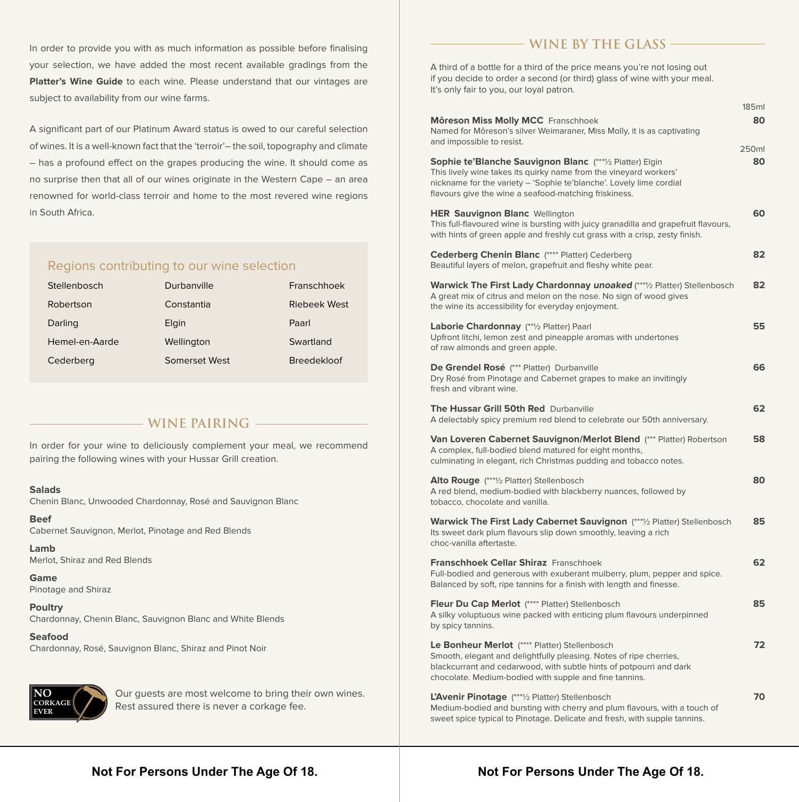In order to provide you with as much information as possible before finalising your selection, we have added the most recent available gradings from the **Platter's Wine Guide** to each wine. Please understand that our vintages are subject to availability from our wine farms.

A significant part of our Platinum Award status is owed to our careful selection of wines. It is a well-known fact that the 'terroir'– the soil, topography and climate – has a profound effect on the grapes producing the wine. It should come as no surprise then that all of our wines originate in the Western Cape – an area renowned for world-class terroir and home to the most revered wine regions in South Africa.

#### Regions contributing to our wine selection

| Stellenbosch   | Durbanville   | Franschhoek        |
|----------------|---------------|--------------------|
| Robertson      | Constantia    | Riebeek West       |
| Darling        | Elgin         | Paarl              |
| Hemel-en-Aarde | Wellington    | Swartland          |
| Cederberg      | Somerset West | <b>Breedekloof</b> |

#### **WINE PAIRING**

In order for your wine to deliciously complement your meal, we recommend pairing the following wines with your Hussar Grill creation.

#### **Salads**

Chenin Blanc, Unwooded Chardonnay, Rosé and Sauvignon Blanc

**Beef**  Cabernet Sauvignon, Merlot, Pinotage and Red Blends

**Lamb** Merlot, Shiraz and Red Blends

**Game** Pinotage and Shiraz

**Poultry** Chardonnay, Chenin Blanc, Sauvignon Blanc and White Blends

**Seafood** Chardonnay, Rosé, Sauvignon Blanc, Shiraz and Pinot Noir



Our guests are most welcome to bring their own wines. Rest assured there is never a corkage fee.

#### **WINE BY THE GLASS**

A third of a bottle for a third of the price means you're not losing out if you decide to order a second (or third) glass of wine with your meal. It's only fair to you, our loyal patron.

|                                                                                                                                                                                                                                                                 | 185ml       |
|-----------------------------------------------------------------------------------------------------------------------------------------------------------------------------------------------------------------------------------------------------------------|-------------|
| Môreson Miss Molly MCC Franschhoek<br>Named for Môreson's silver Weimaraner, Miss Molly, it is as captivating<br>and impossible to resist.                                                                                                                      | 80          |
| Sophie te' Blanche Sauvignon Blanc (****1/2 Platter) Elgin<br>This lively wine takes its quirky name from the vineyard workers'<br>nickname for the variety - 'Sophie te'blanche'. Lovely lime cordial<br>flavours give the wine a seafood-matching friskiness. | 250ml<br>80 |
| HER Sauvignon Blanc Wellington<br>This full-flavoured wine is bursting with juicy granadilla and grapefruit flavours,<br>with hints of green apple and freshly cut grass with a crisp, zesty finish.                                                            | 60          |
| Cederberg Chenin Blanc (**** Platter) Cederberg<br>Beautiful layers of melon, grapefruit and fleshy white pear.                                                                                                                                                 | 82          |
| Warwick The First Lady Chardonnay unoaked (***1/2 Platter) Stellenbosch<br>A great mix of citrus and melon on the nose. No sign of wood gives<br>the wine its accessibility for everyday enjoyment.                                                             | 82          |
| Laborie Chardonnay (** <sup>1</sup> /2 Platter) Paarl<br>Upfront litchi, lemon zest and pineapple aromas with undertones<br>of raw almonds and green apple.                                                                                                     | 55          |
| De Grendel Rosé (*** Platter) Durbanville<br>Dry Rosé from Pinotage and Cabernet grapes to make an invitingly<br>fresh and vibrant wine.                                                                                                                        | 66          |
| <b>The Hussar Grill 50th Red</b> Durbanville<br>A delectably spicy premium red blend to celebrate our 50th anniversary.                                                                                                                                         | 62          |
| Van Loveren Cabernet Sauvignon/Merlot Blend (*** Platter) Robertson<br>A complex, full-bodied blend matured for eight months,<br>culminating in elegant, rich Christmas pudding and tobacco notes.                                                              | 58          |
| <b>Alto Rouge</b> (***1/2 Platter) Stellenbosch<br>A red blend, medium-bodied with blackberry nuances, followed by<br>tobacco, chocolate and vanilla.                                                                                                           | 80          |
| <b>Warwick The First Lady Cabernet Sauvignon</b> (****) Platter) Stellenbosch<br>Its sweet dark plum flavours slip down smoothly, leaving a rich<br>choc-vanilla aftertaste.                                                                                    | 85          |
| <b>Franschhoek Cellar Shiraz</b> Franschhoek<br>Full-bodied and generous with exuberant mulberry, plum, pepper and spice.<br>Balanced by soft, ripe tannins for a finish with length and finesse.                                                               | 62          |
| Fleur Du Cap Merlot (**** Platter) Stellenbosch<br>A silky voluptuous wine packed with enticing plum flavours underpinned<br>by spicy tannins.                                                                                                                  | 85          |
| Le Bonheur Merlot (**** Platter) Stellenbosch<br>Smooth, elegant and delightfully pleasing. Notes of ripe cherries,<br>blackcurrant and cedarwood, with subtle hints of potpourri and dark<br>chocolate. Medium-bodied with supple and fine tannins.            | 72          |
| L'Avenir Pinotage (*** <sup>1</sup> /2 Platter) Stellenbosch<br>Medium-bodied and bursting with cherry and plum flavours, with a touch of<br>sweet spice typical to Pinotage. Delicate and fresh, with supple tannins.                                          | 70          |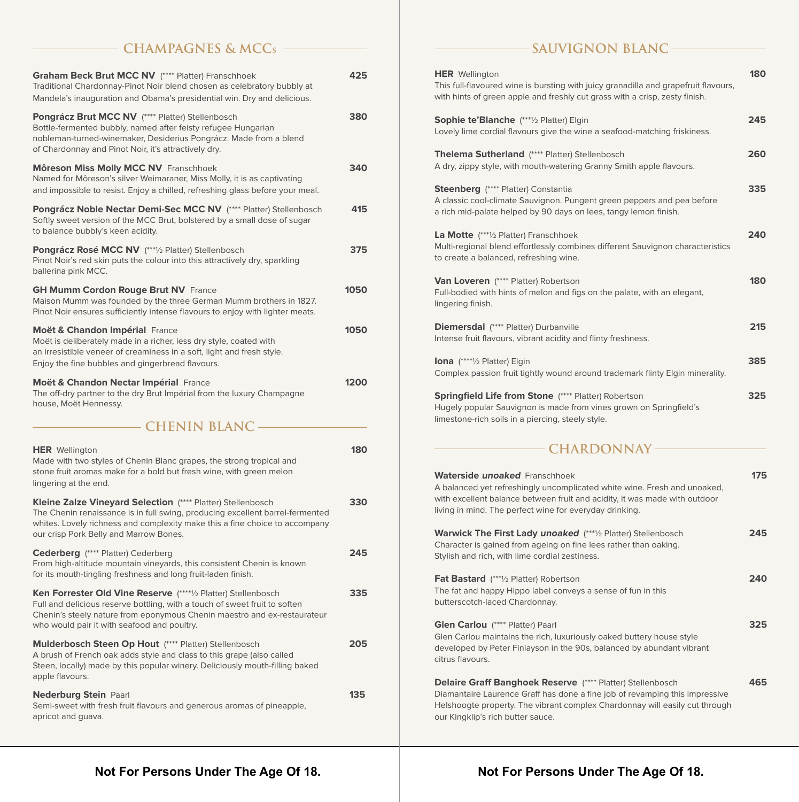# **CHAMPAGNES & MCCs**

| Graham Beck Brut MCC NV (**** Platter) Franschhoek<br>Traditional Chardonnay-Pinot Noir blend chosen as celebratory bubbly at<br>Mandela's inauguration and Obama's presidential win. Dry and delicious.                                                              | 425  |
|-----------------------------------------------------------------------------------------------------------------------------------------------------------------------------------------------------------------------------------------------------------------------|------|
| Pongrácz Brut MCC NV (**** Platter) Stellenbosch<br>Bottle-fermented bubbly, named after feisty refugee Hungarian<br>nobleman-turned-winemaker, Desiderius Pongrácz. Made from a blend<br>of Chardonnay and Pinot Noir, it's attractively dry.                        | 380  |
| <b>Môreson Miss Molly MCC NV Franschhoek</b><br>Named for Môreson's silver Weimaraner, Miss Molly, it is as captivating<br>and impossible to resist. Enjoy a chilled, refreshing glass before your meal.                                                              | 340  |
| Pongrácz Noble Nectar Demi-Sec MCC NV (**** Platter) Stellenbosch<br>Softly sweet version of the MCC Brut, bolstered by a small dose of sugar<br>to balance bubbly's keen acidity.                                                                                    | 415  |
| Pongrácz Rosé MCC NV (***1/2 Platter) Stellenbosch<br>Pinot Noir's red skin puts the colour into this attractively dry, sparkling<br>ballerina pink MCC.                                                                                                              | 375  |
| <b>GH Mumm Cordon Rouge Brut NV France</b><br>Maison Mumm was founded by the three German Mumm brothers in 1827.<br>Pinot Noir ensures sufficiently intense flavours to enjoy with lighter meats.                                                                     | 1050 |
| Moët & Chandon Impérial France<br>Moët is deliberately made in a richer, less dry style, coated with<br>an irresistible veneer of creaminess in a soft, light and fresh style.<br>Enjoy the fine bubbles and gingerbread flavours.                                    | 1050 |
| Moët & Chandon Nectar Impérial France<br>The off-dry partner to the dry Brut Impérial from the luxury Champagne                                                                                                                                                       | 1200 |
| house, Moët Hennessy.                                                                                                                                                                                                                                                 |      |
| <b>CHENIN BLANC</b>                                                                                                                                                                                                                                                   |      |
| <b>HER</b> Wellington<br>Made with two styles of Chenin Blanc grapes, the strong tropical and<br>stone fruit aromas make for a bold but fresh wine, with green melon<br>lingering at the end.                                                                         | 180  |
| Kleine Zalze Vineyard Selection (**** Platter) Stellenbosch<br>The Chenin renaissance is in full swing, producing excellent barrel-fermented<br>whites. Lovely richness and complexity make this a fine choice to accompany<br>our crisp Pork Belly and Marrow Bones. | 330  |
| Cederberg (**** Platter) Cederberg<br>From high-altitude mountain vineyards, this consistent Chenin is known<br>for its mouth-tingling freshness and long fruit-laden finish.                                                                                         | 245  |
| Ken Forrester Old Vine Reserve (*****) Platter) Stellenbosch<br>Full and delicious reserve bottling, with a touch of sweet fruit to soften<br>Chenin's steely nature from eponymous Chenin maestro and ex-restaurateur<br>who would pair it with seafood and poultry. | 335  |
| Mulderbosch Steen Op Hout (**** Platter) Stellenbosch<br>A brush of French oak adds style and class to this grape (also called<br>Steen, locally) made by this popular winery. Deliciously mouth-filling baked<br>apple flavours.                                     | 205  |

# - SAUVIGNON BLANC -

| <b>HER</b> Wellington<br>This full-flavoured wine is bursting with juicy granadilla and grapefruit flavours,<br>with hints of green apple and freshly cut grass with a crisp, zesty finish.                                                                          | 180 |
|----------------------------------------------------------------------------------------------------------------------------------------------------------------------------------------------------------------------------------------------------------------------|-----|
| <b>Sophie te'Blanche</b> (***1/2 Platter) Elgin<br>Lovely lime cordial flavours give the wine a seafood-matching friskiness.                                                                                                                                         | 245 |
| <b>Thelema Sutherland</b> (**** Platter) Stellenbosch<br>A dry, zippy style, with mouth-watering Granny Smith apple flavours.                                                                                                                                        | 260 |
| Steenberg (**** Platter) Constantia<br>A classic cool-climate Sauvignon. Pungent green peppers and pea before<br>a rich mid-palate helped by 90 days on lees, tangy lemon finish.                                                                                    | 335 |
| <b>La Motte</b> (****/2 Platter) Franschhoek<br>Multi-regional blend effortlessly combines different Sauvignon characteristics<br>to create a balanced, refreshing wine.                                                                                             | 240 |
| <b>Van Loveren</b> (**** Platter) Robertson<br>Full-bodied with hints of melon and figs on the palate, with an elegant,<br>lingering finish.                                                                                                                         | 180 |
| <b>Diemersdal</b> (**** Platter) Durbanville<br>Intense fruit flavours, vibrant acidity and flinty freshness.                                                                                                                                                        | 215 |
| Iona (*****1/2 Platter) Elgin<br>Complex passion fruit tightly wound around trademark flinty Elgin minerality.                                                                                                                                                       | 385 |
| <b>Springfield Life from Stone (**** Platter) Robertson</b><br>Hugely popular Sauvignon is made from vines grown on Springfield's<br>limestone-rich soils in a piercing, steely style.                                                                               | 325 |
| <b>CHARDONNAY-</b>                                                                                                                                                                                                                                                   |     |
| <b>Waterside unoaked</b> Franschhoek<br>A balanced yet refreshingly uncomplicated white wine. Fresh and unoaked,<br>with excellent balance between fruit and acidity, it was made with outdoor<br>living in mind. The perfect wine for everyday drinking.            | 175 |
| Warwick The First Lady unoaked (***1/2 Platter) Stellenbosch<br>Character is gained from ageing on fine lees rather than oaking.<br>Stylish and rich, with lime cordial zestiness.                                                                                   | 245 |
| <b>Fat Bastard</b> (***1/2 Platter) Robertson<br>The fat and happy Hippo label conveys a sense of fun in this<br>butterscotch-laced Chardonnay.                                                                                                                      | 240 |
| Glen Carlou (**** Platter) Paarl<br>Glen Carlou maintains the rich, luxuriously oaked buttery house style<br>developed by Peter Finlayson in the 90s, balanced by abundant vibrant<br>citrus flavours.                                                               | 325 |
| <b>Delaire Graff Banghoek Reserve (**** Platter) Stellenbosch</b><br>Diamantaire Laurence Graff has done a fine job of revamping this impressive<br>Helshoogte property. The vibrant complex Chardonnay will easily cut through<br>our Kingklip's rich butter sauce. | 465 |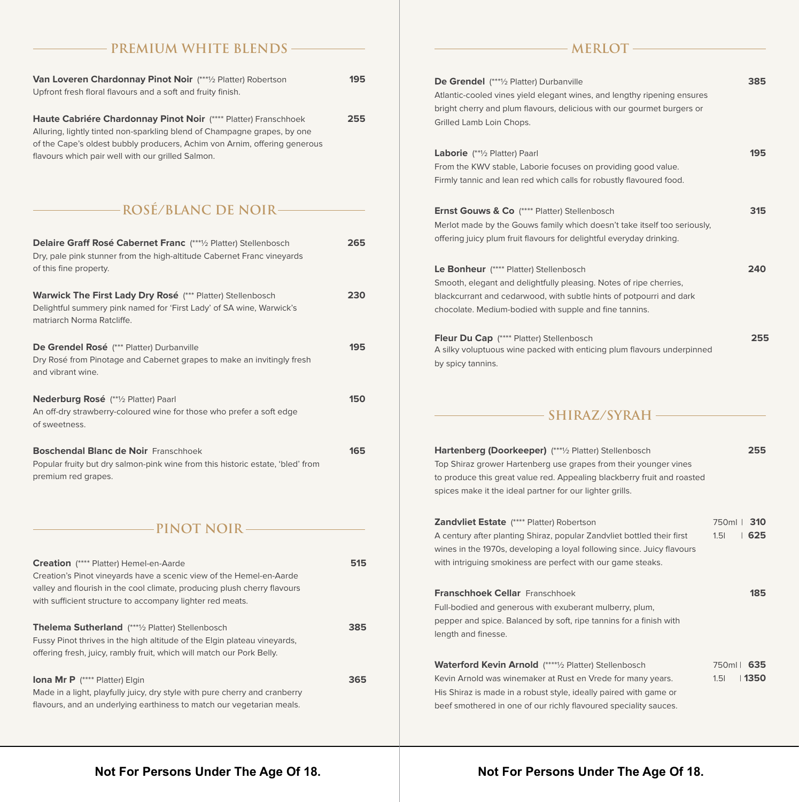#### **PREMIUM WHITE BLENDS**

| <b>Van Loveren Chardonnay Pinot Noir</b> (*** <sup>1</sup> / <sub>2</sub> Platter) Robertson<br>Upfront fresh floral flavours and a soft and fruity finish.                                                                                                                   | 195 |
|-------------------------------------------------------------------------------------------------------------------------------------------------------------------------------------------------------------------------------------------------------------------------------|-----|
| Haute Cabriére Chardonnay Pinot Noir (**** Platter) Franschhoek<br>Alluring, lightly tinted non-sparkling blend of Champagne grapes, by one<br>of the Cape's oldest bubbly producers, Achim von Arnim, offering generous<br>flavours which pair well with our grilled Salmon. | 255 |
| <b>ROSÉ/BLANC DE NOIR-</b>                                                                                                                                                                                                                                                    |     |
| <b>Delaire Graff Rosé Cabernet Franc</b> (***1/2 Platter) Stellenbosch<br>Dry, pale pink stunner from the high-altitude Cabernet Franc vineyards<br>of this fine property.                                                                                                    | 265 |
| <b>Warwick The First Lady Dry Rosé</b> (*** Platter) Stellenbosch<br>Delightful summery pink named for 'First Lady' of SA wine, Warwick's<br>matriarch Norma Ratcliffe.                                                                                                       | 230 |
| De Grendel Rosé (*** Platter) Durbanville<br>Dry Rosé from Pinotage and Cabernet grapes to make an invitingly fresh<br>and vibrant wine.                                                                                                                                      | 195 |

| Nederburg Rosé (**1/2 Platter) Paarl                                 | 150 |
|----------------------------------------------------------------------|-----|
| An off-dry strawberry-coloured wine for those who prefer a soft edge |     |
| of sweetness.                                                        |     |
|                                                                      |     |
| <b>Boschendal Blanc de Noir Franschhoek</b>                          | 165 |
|                                                                      |     |

Popular fruity but dry salmon-pink wine from this historic estate, 'bled' from premium red grapes.

**PINOT NOIR**

| <b>Creation</b> (**** Platter) Hemel-en-Aarde<br>Creation's Pinot vineyards have a scenic view of the Hemel-en-Aarde<br>valley and flourish in the cool climate, producing plush cherry flavours<br>with sufficient structure to accompany lighter red meats. | 515 |
|---------------------------------------------------------------------------------------------------------------------------------------------------------------------------------------------------------------------------------------------------------------|-----|
| <b>Thelema Sutherland</b> (***1/2 Platter) Stellenbosch<br>Fussy Pinot thrives in the high altitude of the Elgin plateau vineyards,<br>offering fresh, juicy, rambly fruit, which will match our Pork Belly.                                                  | 385 |
| <b>Iona Mr P</b> (**** Platter) Elgin<br>Made in a light, playfully juicy, dry style with pure cherry and cranberry<br>flavours, and an underlying earthiness to match our vegetarian meals.                                                                  | 365 |

#### **MERLOT**

| <b>De Grendel</b> (***½ Platter) Durbanville<br>Atlantic-cooled vines yield elegant wines, and lengthy ripening ensures<br>bright cherry and plum flavours, delicious with our gourmet burgers or<br>Grilled Lamb Loin Chops.                                    |      | 385                   |
|------------------------------------------------------------------------------------------------------------------------------------------------------------------------------------------------------------------------------------------------------------------|------|-----------------------|
| <b>Laborie</b> (**1/2 Platter) Paarl<br>From the KWV stable, Laborie focuses on providing good value.<br>Firmly tannic and lean red which calls for robustly flavoured food.                                                                                     |      | 195                   |
| <b>Ernst Gouws &amp; Co</b> (**** Platter) Stellenbosch<br>Merlot made by the Gouws family which doesn't take itself too seriously,<br>offering juicy plum fruit flavours for delightful everyday drinking.                                                      |      | 315                   |
| <b>Le Bonheur</b> (**** Platter) Stellenbosch<br>Smooth, elegant and delightfully pleasing. Notes of ripe cherries,<br>blackcurrant and cedarwood, with subtle hints of potpourri and dark<br>chocolate. Medium-bodied with supple and fine tannins.             |      | 240                   |
| Fleur Du Cap (**** Platter) Stellenbosch<br>A silky voluptuous wine packed with enticing plum flavours underpinned<br>by spicy tannins.                                                                                                                          |      | 255                   |
| – SHIRAZ/SYRAH –                                                                                                                                                                                                                                                 |      |                       |
| Hartenberg (Doorkeeper) (***1/2 Platter) Stellenbosch<br>Top Shiraz grower Hartenberg use grapes from their younger vines<br>to produce this great value red. Appealing blackberry fruit and roasted<br>spices make it the ideal partner for our lighter grills. |      | 255                   |
| Zandvliet Estate (**** Platter) Robertson<br>A century after planting Shiraz, popular Zandvliet bottled their first<br>wines in the 1970s, developing a loyal following since. Juicy flavours<br>with intriguing smokiness are perfect with our game steaks.     | 1.51 | 750ml   310<br>  625  |
| <b>Franschhoek Cellar</b> Franschhoek<br>Full-bodied and generous with exuberant mulberry, plum,<br>pepper and spice. Balanced by soft, ripe tannins for a finish with<br>length and finesse.                                                                    |      | 185                   |
| Waterford Kevin Arnold (****1/2 Platter) Stellenbosch<br>Kevin Arnold was winemaker at Rust en Vrede for many years.<br>His Shiraz is made in a robust style, ideally paired with game or                                                                        | 1.51 | 750ml   635<br>∣ 1350 |

**Not For Persons Under The Age Of 18.**

### **Not For Persons Under The Age Of 18.**

beef smothered in one of our richly flavoured speciality sauces.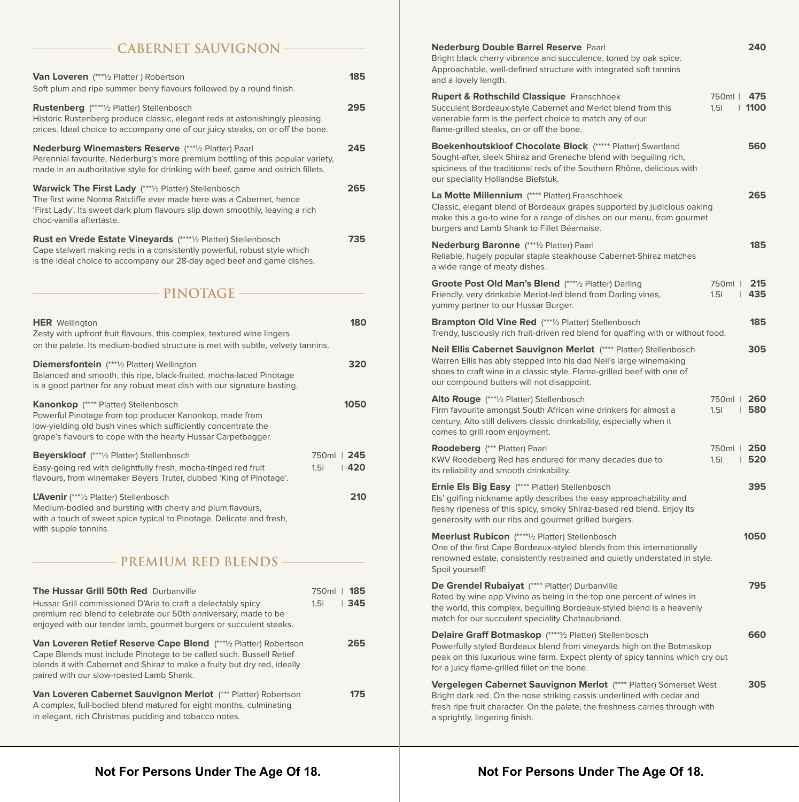#### **CABERNET SAUVIGNON**

| <b>Van Loveren</b> (***1/2 Platter) Robertson<br>Soft plum and ripe summer berry flavours followed by a round finish.                                                                                                                                                  |                                 | 185   |
|------------------------------------------------------------------------------------------------------------------------------------------------------------------------------------------------------------------------------------------------------------------------|---------------------------------|-------|
| Rustenberg (*****/2 Platter) Stellenbosch<br>Historic Rustenberg produce classic, elegant reds at astonishingly pleasing<br>prices. Ideal choice to accompany one of our juicy steaks, on or off the bone.                                                             |                                 | 295   |
| Nederburg Winemasters Reserve (****/2 Platter) Paarl<br>Perennial favourite, Nederburg's more premium bottling of this popular variety,<br>made in an authoritative style for drinking with beef, game and ostrich fillets.                                            |                                 | 245   |
| <b>Warwick The First Lady</b> (***1/2 Platter) Stellenbosch<br>The first wine Norma Ratcliffe ever made here was a Cabernet, hence<br>'First Lady'. Its sweet dark plum flavours slip down smoothly, leaving a rich<br>choc-vanilla aftertaste.                        |                                 | 265   |
| Rust en Vrede Estate Vineyards (*****/2 Platter) Stellenbosch<br>Cape stalwart making reds in a consistently powerful, robust style which<br>is the ideal choice to accompany our 28-day aged beef and game dishes.                                                    |                                 | 735   |
| – PINOTAGE –                                                                                                                                                                                                                                                           |                                 |       |
| <b>HER</b> Wellington<br>Zesty with upfront fruit flavours, this complex, textured wine lingers<br>on the palate. Its medium-bodied structure is met with subtle, velvety tannins.                                                                                     |                                 | 180   |
| <b>Diemersfontein</b> (***1/2 Platter) Wellington<br>Balanced and smooth, this ripe, black-fruited, mocha-laced Pinotage<br>is a good partner for any robust meat dish with our signature basting.                                                                     |                                 | 320   |
| Kanonkop (**** Platter) Stellenbosch<br>Powerful Pinotage from top producer Kanonkop, made from<br>low-yielding old bush vines which sufficiently concentrate the<br>grape's flavours to cope with the hearty Hussar Carpetbagger.                                     |                                 | 1050  |
| <b>Beyerskloof</b> (***1/2 Platter) Stellenbosch<br>Easy-going red with delightfully fresh, mocha-tinged red fruit<br>flavours, from winemaker Beyers Truter, dubbed 'King of Pinotage'.                                                                               | 750ml   245<br>1.5 <sub>l</sub> | ∣ 420 |
| L'Avenir (***1/2 Platter) Stellenbosch<br>Medium-bodied and bursting with cherry and plum flavours,<br>with a touch of sweet spice typical to Pinotage. Delicate and fresh,<br>with supple tannins.                                                                    |                                 | 210   |
| - PREMIUM RED BLENDS -                                                                                                                                                                                                                                                 |                                 |       |
| <b>The Hussar Grill 50th Red Durbanville</b><br>Hussar Grill commissioned D'Aria to craft a delectably spicy<br>premium red blend to celebrate our 50th anniversary, made to be<br>enjoyed with our tender lamb, gourmet burgers or succulent steaks.                  | 750ml   185<br>1.51             | 345   |
| <b>Van Loveren Retief Reserve Cape Blend</b> (***1/2 Platter) Robertson<br>Cape Blends must include Pinotage to be called such. Bussell Retief<br>blends it with Cabernet and Shiraz to make a fruity but dry red, ideally<br>paired with our slow-roasted Lamb Shank. |                                 | 265   |

**Van Loveren Cabernet Sauvignon Merlot** (\*\*\* Platter) Robertson **175** A complex, full-bodied blend matured for eight months, culminating in elegant, rich Christmas pudding and tobacco notes.

| <b>Nederburg Double Barrel Reserve Paarl</b><br>Bright black cherry vibrance and succulence, toned by oak spice.<br>Approachable, well-defined structure with integrated soft tannins<br>and a lovely length.                                                             | 240                                 |
|---------------------------------------------------------------------------------------------------------------------------------------------------------------------------------------------------------------------------------------------------------------------------|-------------------------------------|
| <b>Rupert &amp; Rothschild Classique Franschhoek</b><br>Succulent Bordeaux-style Cabernet and Merlot blend from this<br>venerable farm is the perfect choice to match any of our<br>flame-grilled steaks, on or off the bone.                                             | 750ml   475<br>1.51<br>$\vert$ 1100 |
| <b>Boekenhoutskloof Chocolate Block (***** Platter) Swartland</b><br>Sought-after, sleek Shiraz and Grenache blend with beguiling rich,<br>spiciness of the traditional reds of the Southern Rhône, delicious with<br>our speciality Hollandse Biefstuk.                  | 560                                 |
| La Motte Millennium (**** Platter) Franschhoek<br>Classic, elegant blend of Bordeaux grapes supported by judicious oaking<br>make this a go-to wine for a range of dishes on our menu, from gourmet<br>burgers and Lamb Shank to Fillet Béarnaise.                        | 265                                 |
| Nederburg Baronne (***1/2 Platter) Paarl<br>Reliable, hugely popular staple steakhouse Cabernet-Shiraz matches<br>a wide range of meaty dishes.                                                                                                                           | 185                                 |
| Groote Post Old Man's Blend (***1/2 Platter) Darling<br>Friendly, very drinkable Merlot-led blend from Darling vines,<br>yummy partner to our Hussar Burger.                                                                                                              | 215<br>750ml l<br>1.51<br>1435      |
| <b>Brampton Old Vine Red</b> (***1/2 Platter) Stellenbosch<br>Trendy, lusciously rich fruit-driven red blend for quaffing with or without food.                                                                                                                           | 185                                 |
| Neil Ellis Cabernet Sauvignon Merlot (**** Platter) Stellenbosch<br>Warren Ellis has ably stepped into his dad Neil's large winemaking<br>shoes to craft wine in a classic style. Flame-grilled beef with one of<br>our compound butters will not disappoint.             | 305                                 |
| <b>Alto Rouge</b> (***1/2 Platter) Stellenbosch<br>Firm favourite amongst South African wine drinkers for almost a<br>century, Alto still delivers classic drinkability, especially when it<br>comes to grill room enjoyment.                                             | 750ml   260<br>1.51<br>∣ 580        |
| Roodeberg (*** Platter) Paarl<br>KWV Roodeberg Red has endured for many decades due to<br>its reliability and smooth drinkability.                                                                                                                                        | 750ml   250<br>1520<br>1.51         |
| Ernie Els Big Easy (**** Platter) Stellenbosch<br>Els' golfing nickname aptly describes the easy approachability and<br>fleshy ripeness of this spicy, smoky Shiraz-based red blend. Enjoy its<br>generosity with our ribs and gourmet grilled burgers.                   | 395                                 |
| Meerlust Rubicon (*****1/2 Platter) Stellenbosch<br>One of the first Cape Bordeaux-styled blends from this internationally<br>renowned estate, consistently restrained and quietly understated in style.<br>Spoil yourself!                                               | 1050                                |
| De Grendel Rubaiyat (**** Platter) Durbanville<br>Rated by wine app Vivino as being in the top one percent of wines in<br>the world, this complex, beguiling Bordeaux-styled blend is a heavenly<br>match for our succulent speciality Chateaubriand.                     | 795                                 |
| <b>Delaire Graff Botmaskop</b> (****1/2 Platter) Stellenbosch<br>Powerfully styled Bordeaux blend from vineyards high on the Botmaskop<br>peak on this luxurious wine farm. Expect plenty of spicy tannins which cry out<br>for a juicy flame-grilled fillet on the bone. | 660                                 |
| Vergelegen Cabernet Sauvignon Merlot (**** Platter) Somerset West<br>Bright dark red. On the nose striking cassis underlined with cedar and<br>fresh ripe fruit character. On the palate, the freshness carries through with<br>a sprightly, lingering finish.            | 305                                 |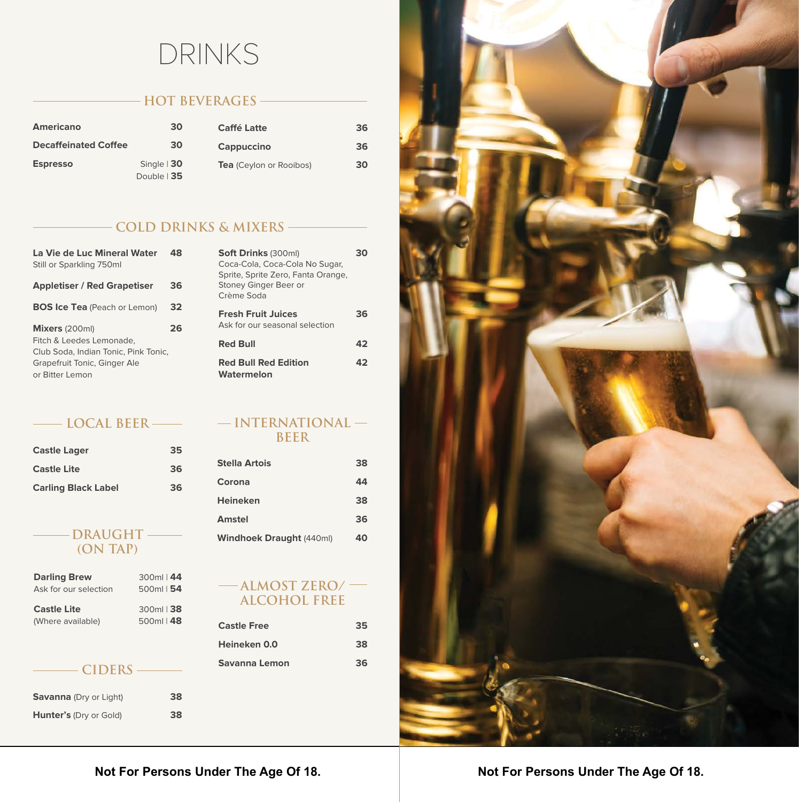# DRINKS

# **HOT BEVERAGES**

| <b>Americano</b>            | 30                            | <b>Caffé Latte</b>             | 36 |
|-----------------------------|-------------------------------|--------------------------------|----|
| <b>Decaffeinated Coffee</b> | 30                            | Cappuccino                     | 36 |
| <b>Espresso</b>             | Single $ 30$<br>Double $ 35 $ | <b>Tea</b> (Ceylon or Rooibos) | 30 |

# **COLD DRINKS & MIXERS**

| La Vie de Luc Mineral Water<br>Still or Sparkling 750ml |    |
|---------------------------------------------------------|----|
| <b>Appletiser / Red Grapetiser</b>                      | 36 |
| <b>BOS Ice Tea</b> (Peach or Lemon)                     | 32 |
| Mixers (200ml)                                          | 26 |
| Fitch & Leedes Lemonade.                                |    |
| Club Soda, Indian Tonic, Pink Tonic,                    |    |
| Grapefruit Tonic, Ginger Ale                            |    |
| or Bitter Lemon                                         |    |

#### **LOCAL BEER**

| <b>Castle Lager</b>        | 35 |
|----------------------------|----|
| <b>Castle Lite</b>         | 36 |
| <b>Carling Black Label</b> | 36 |

#### **DRAUGHT (ON TAP)**

| <b>Darling Brew</b>   | 300ml   44  |
|-----------------------|-------------|
| Ask for our selection | 500ml $ 54$ |
| <b>Castle Lite</b>    | 300ml   38  |
| (Where available)     | 500ml   48  |

#### **CIDERS**

| <b>Savanna</b> (Dry or Light) | 38 |
|-------------------------------|----|
| <b>Hunter's (Dry or Gold)</b> | 38 |

| <b>Soft Drinks (300ml)</b><br>Coca-Cola, Coca-Cola No Sugar,<br>Sprite, Sprite Zero, Fanta Orange,<br>Stoney Ginger Beer or<br>Crème Soda |    |
|-------------------------------------------------------------------------------------------------------------------------------------------|----|
| <b>Fresh Fruit Juices</b><br>Ask for our seasonal selection                                                                               | 36 |
| <b>Red Bull</b>                                                                                                                           | 47 |
| <b>Red Bull Red Edition</b><br>Watermelon                                                                                                 | 47 |

#### **INTERNATIONAL BEER**

| <b>Stella Artois</b>            | 38 |
|---------------------------------|----|
| Corona                          | 44 |
| <b>Heineken</b>                 | 38 |
| Amstel                          | 36 |
| <b>Windhoek Draught (440ml)</b> |    |

#### **ALMOST ZERO/ ALCOHOL FREE**

| (Where available) | $500ml$   48 | <b>Castle Free</b> | 35 |
|-------------------|--------------|--------------------|----|
|                   |              | Heineken 0.0       | 38 |
| CIDERS            |              | Savanna Lemon      | 36 |



# **Not For Persons Under The Age Of 18.**

## **Not For Persons Under The Age Of 18.**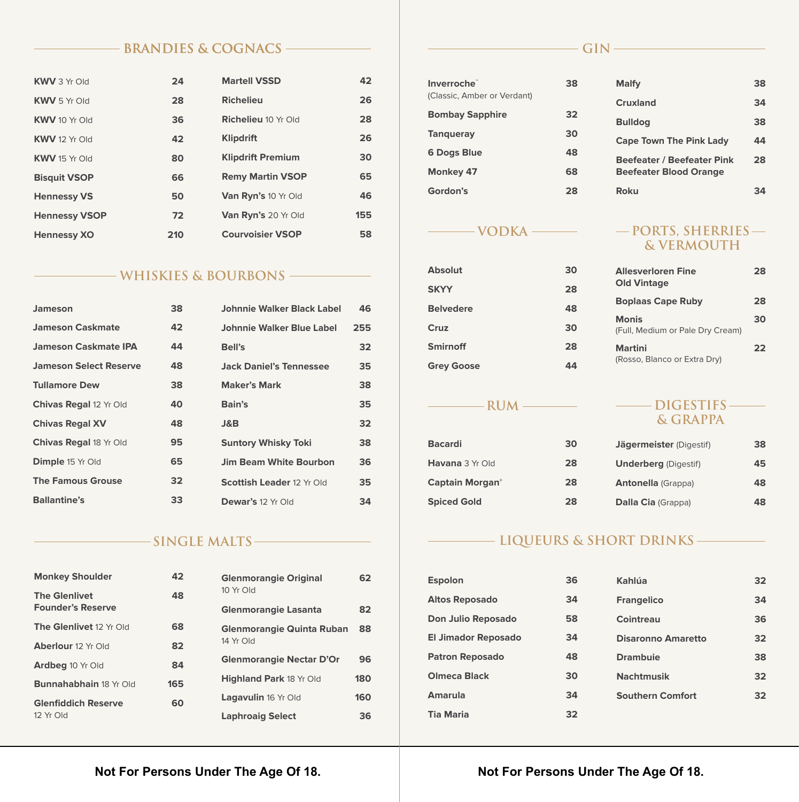#### **BRANDIES & COGNACS**

| <b>KWV</b> 3 Yr Old  | 24  | <b>Martell VSSD</b>        | 42  |
|----------------------|-----|----------------------------|-----|
| <b>KWV</b> 5 Yr Old  | 28  | <b>Richelieu</b>           | 26  |
| <b>KWV</b> 10 Yr Old | 36  | <b>Richelieu 10 Yr Old</b> | 28  |
| <b>KWV</b> 12 Yr Old | 42  | <b>Klipdrift</b>           | 26  |
| <b>KWV</b> 15 Yr Old | 80  | <b>Klipdrift Premium</b>   | 30  |
| <b>Bisquit VSOP</b>  | 66  | <b>Remy Martin VSOP</b>    | 65  |
| <b>Hennessy VS</b>   | 50  | Van Ryn's 10 Yr Old        | 46  |
| <b>Hennessy VSOP</b> | 72  | Van Ryn's 20 Yr Old        | 155 |
| <b>Hennessy XO</b>   | 210 | <b>Courvoisier VSOP</b>    | 58  |

#### **WHISKIES & BOURBONS**

| Jameson                       | 38  | Johnnie Walker Black Label       | 46              |
|-------------------------------|-----|----------------------------------|-----------------|
| <b>Jameson Caskmate</b>       | 42  | Johnnie Walker Blue Label        | 255             |
| <b>Jameson Caskmate IPA</b>   | 44  | Bell's                           | 32 <sub>2</sub> |
| <b>Jameson Select Reserve</b> | 48. | <b>Jack Daniel's Tennessee</b>   | 35              |
| <b>Tullamore Dew</b>          | 38  | <b>Maker's Mark</b>              | 38              |
| <b>Chivas Regal 12 Yr Old</b> | 40  | Bain's                           | 35              |
| <b>Chivas Regal XV</b>        | 48  | J&B                              | 32 <sub>2</sub> |
| <b>Chivas Regal 18 Yr Old</b> | 95. | <b>Suntory Whisky Toki</b>       | 38              |
| <b>Dimple</b> 15 Yr Old       | 65  | <b>Jim Beam White Bourbon</b>    | 36              |
| <b>The Famous Grouse</b>      | 32  | <b>Scottish Leader 12 Yr Old</b> | 35              |
| <b>Ballantine's</b>           | 33  | Dewar's 12 Yr Old                | 34              |

#### **SINGLE MALTS**

| <b>Monkey Shoulder</b>                           | 42                      | <b>Glenmorangie Original</b>     | 62  |
|--------------------------------------------------|-------------------------|----------------------------------|-----|
| <b>The Glenlivet</b><br><b>Founder's Reserve</b> | 48                      | 10 Yr Old                        | 82  |
|                                                  |                         | <b>Glenmorangie Lasanta</b>      |     |
| <b>The Glenlivet 12 Yr Old</b>                   | 68                      | <b>Glenmorangie Quinta Ruban</b> | 88  |
| <b>Aberlour</b> 12 Yr Old                        | 82                      | 14 Yr Old                        |     |
| <b>Ardbeg 10 Yr Old</b>                          | 84                      | <b>Glenmorangie Nectar D'Or</b>  | 96  |
| <b>Bunnahabhain 18 Yr Old</b>                    | 165                     | <b>Highland Park 18 Yr Old</b>   | 180 |
| <b>Glenfiddich Reserve</b>                       | 60                      | <b>Lagavulin 16 Yr Old</b>       | 160 |
| 12 Yr Old                                        | <b>Laphroaig Select</b> | 36                               |     |

# $-GIN$

| Inverroche <sup>®</sup>     | 38 | <b>Malfy</b>                      | 38 |
|-----------------------------|----|-----------------------------------|----|
| (Classic, Amber or Verdant) |    | <b>Cruxland</b>                   | 34 |
| <b>Bombay Sapphire</b>      | 32 |                                   |    |
|                             | 30 | <b>Bulldog</b>                    | 38 |
| <b>Tangueray</b>            |    | <b>Cape Town The Pink Lady</b>    | 44 |
| <b>6 Dogs Blue</b>          | 48 | <b>Beefeater / Beefeater Pink</b> | 28 |
| <b>Monkey 47</b>            | 68 | <b>Beefeater Blood Orange</b>     |    |
| Gordon's                    | 28 | <b>Roku</b>                       | 34 |

# $-VODKA$

| <b>Absolut</b>    | 30 |
|-------------------|----|
| <b>SKYY</b>       | 28 |
| <b>Belvedere</b>  | 48 |
| Cruz              | 30 |
| <b>Smirnoff</b>   | 28 |
| <b>Grey Goose</b> | 44 |

 $-RUM$  –

| <b>Bacardi</b>                     | 30 | Jäger        |
|------------------------------------|----|--------------|
| <b>Havana</b> 3 Yr Old             | 28 | Unde         |
| <b>Captain Morgan</b> <sup>®</sup> | 28 | Anto         |
| <b>Spiced Gold</b>                 | 28 | <b>Dalla</b> |

## **PORTS, SHERRIES & VERMOUTH**

| <b>Allesverloren Fine</b><br><b>Old Vintage</b>  | 28 |
|--------------------------------------------------|----|
| <b>Boplaas Cape Ruby</b>                         | 28 |
| <b>Monis</b><br>(Full, Medium or Pale Dry Cream) | 30 |
| <b>Martini</b><br>(Rosso, Blanco or Extra Dry)   | 22 |

#### **DIGESTIFS & GRAPPA**

| Jägermeister (Digestif)     | 38 |
|-----------------------------|----|
| <b>Underberg</b> (Digestif) | 45 |
| <b>Antonella</b> (Grappa)   | 48 |
| <b>Dalla Cia</b> (Grappa)   | 48 |

# **LIQUEURS & SHORT DRINKS**

| <b>Espolon</b>             | 36 | Kahlúa                    | 32 <sub>2</sub> |
|----------------------------|----|---------------------------|-----------------|
| <b>Altos Reposado</b>      | 34 | <b>Frangelico</b>         | 34              |
| Don Julio Reposado         | 58 | Cointreau                 | 36              |
| <b>El Jimador Reposado</b> | 34 | <b>Disaronno Amaretto</b> | 32 <sub>2</sub> |
| <b>Patron Reposado</b>     | 48 | <b>Drambuje</b>           | 38              |
| <b>Olmeca Black</b>        | 30 | <b>Nachtmusik</b>         | 32 <sub>2</sub> |
| Amarula                    | 34 | <b>Southern Comfort</b>   | 32 <sub>2</sub> |
| <b>Tia Maria</b>           | 32 |                           |                 |

#### **Not For Persons Under The Age Of 18.**